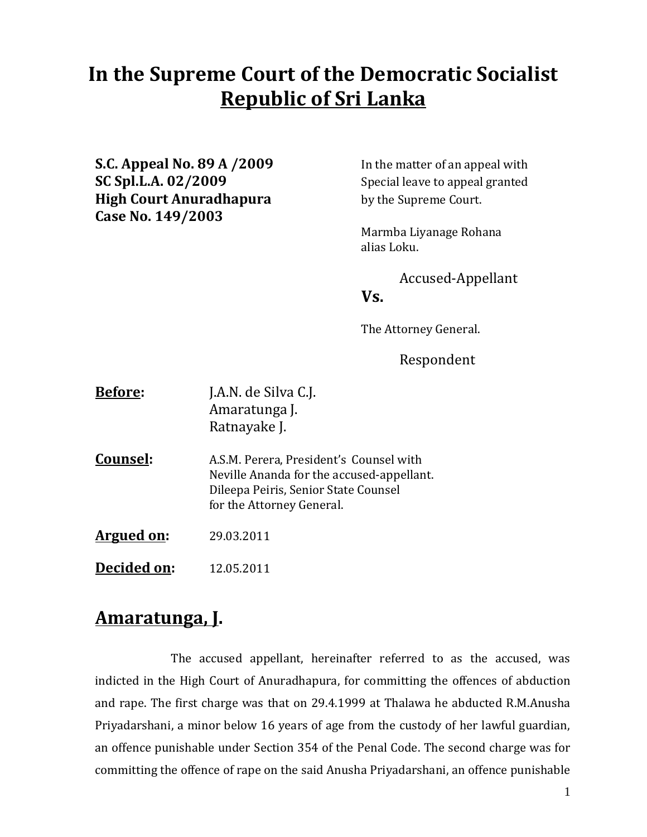# **In the Supreme Court of the Democratic Socialist Republic of Sri Lanka**

**S.C. Appeal No. 89 A /2009** In the matter of an appeal with **SC Spl.L.A. 02/2009** Special leave to appeal granted **High Court Anuradhapura** by the Supreme Court. **Case No. 149/2003**

Marmba Liyanage Rohana alias Loku.

Accused-Appellant

#### **Vs.**

The Attorney General.

Respondent

- **Before:** J.A.N. de Silva C.J. Amaratunga J. Ratnayake J.
- **Counsel:** A.S.M. Perera, President's Counsel with Neville Ananda for the accused-appellant. Dileepa Peiris, Senior State Counsel for the Attorney General.

**Argued on:** 29.03.2011

**Decided on:** 12.05.2011

### **Amaratunga, J.**

The accused appellant, hereinafter referred to as the accused, was indicted in the High Court of Anuradhapura, for committing the offences of abduction and rape. The first charge was that on 29.4.1999 at Thalawa he abducted R.M.Anusha Priyadarshani, a minor below 16 years of age from the custody of her lawful guardian, an offence punishable under Section 354 of the Penal Code. The second charge was for committing the offence of rape on the said Anusha Priyadarshani, an offence punishable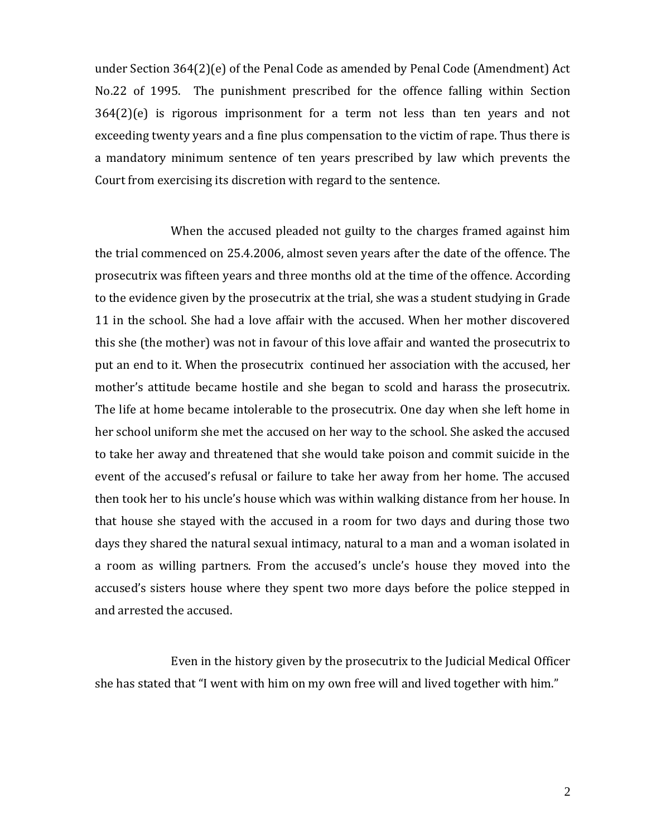under Section 364(2)(e) of the Penal Code as amended by Penal Code (Amendment) Act No.22 of 1995. The punishment prescribed for the offence falling within Section 364(2)(e) is rigorous imprisonment for a term not less than ten years and not exceeding twenty years and a fine plus compensation to the victim of rape. Thus there is a mandatory minimum sentence of ten years prescribed by law which prevents the Court from exercising its discretion with regard to the sentence.

When the accused pleaded not guilty to the charges framed against him the trial commenced on 25.4.2006, almost seven years after the date of the offence. The prosecutrix was fifteen years and three months old at the time of the offence. According to the evidence given by the prosecutrix at the trial, she was a student studying in Grade 11 in the school. She had a love affair with the accused. When her mother discovered this she (the mother) was not in favour of this love affair and wanted the prosecutrix to put an end to it. When the prosecutrix continued her association with the accused, her mother's attitude became hostile and she began to scold and harass the prosecutrix. The life at home became intolerable to the prosecutrix. One day when she left home in her school uniform she met the accused on her way to the school. She asked the accused to take her away and threatened that she would take poison and commit suicide in the event of the accused's refusal or failure to take her away from her home. The accused then took her to his uncle's house which was within walking distance from her house. In that house she stayed with the accused in a room for two days and during those two days they shared the natural sexual intimacy, natural to a man and a woman isolated in a room as willing partners. From the accused's uncle's house they moved into the accused's sisters house where they spent two more days before the police stepped in and arrested the accused.

Even in the history given by the prosecutrix to the Judicial Medical Officer she has stated that "I went with him on my own free will and lived together with him."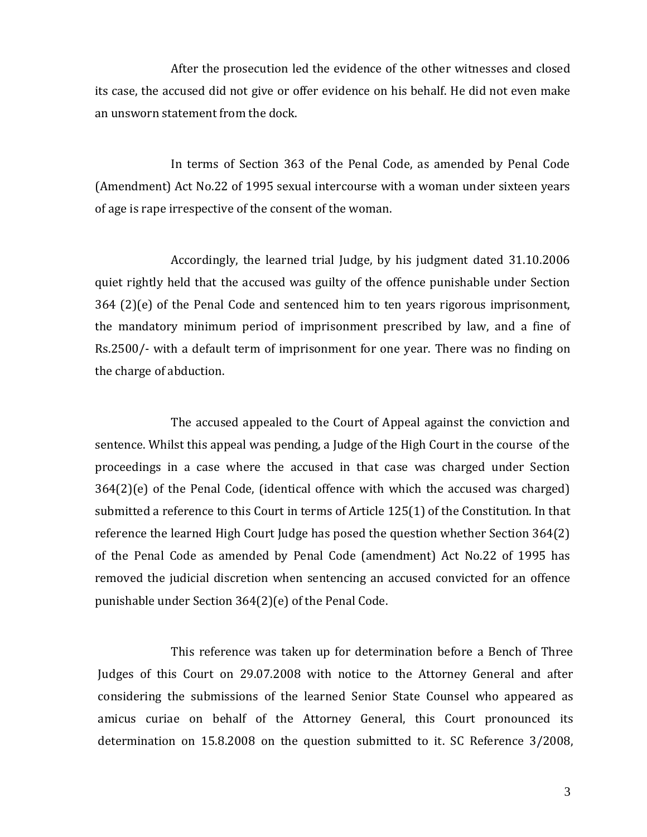After the prosecution led the evidence of the other witnesses and closed its case, the accused did not give or offer evidence on his behalf. He did not even make an unsworn statement from the dock.

In terms of Section 363 of the Penal Code, as amended by Penal Code (Amendment) Act No.22 of 1995 sexual intercourse with a woman under sixteen years of age is rape irrespective of the consent of the woman.

Accordingly, the learned trial Judge, by his judgment dated 31.10.2006 quiet rightly held that the accused was guilty of the offence punishable under Section 364 (2)(e) of the Penal Code and sentenced him to ten years rigorous imprisonment, the mandatory minimum period of imprisonment prescribed by law, and a fine of Rs.2500/- with a default term of imprisonment for one year. There was no finding on the charge of abduction.

The accused appealed to the Court of Appeal against the conviction and sentence. Whilst this appeal was pending, a Judge of the High Court in the course of the proceedings in a case where the accused in that case was charged under Section 364(2)(e) of the Penal Code, (identical offence with which the accused was charged) submitted a reference to this Court in terms of Article 125(1) of the Constitution. In that reference the learned High Court Judge has posed the question whether Section 364(2) of the Penal Code as amended by Penal Code (amendment) Act No.22 of 1995 has removed the judicial discretion when sentencing an accused convicted for an offence punishable under Section 364(2)(e) of the Penal Code.

This reference was taken up for determination before a Bench of Three Judges of this Court on 29.07.2008 with notice to the Attorney General and after considering the submissions of the learned Senior State Counsel who appeared as amicus curiae on behalf of the Attorney General, this Court pronounced its determination on 15.8.2008 on the question submitted to it. SC Reference 3/2008,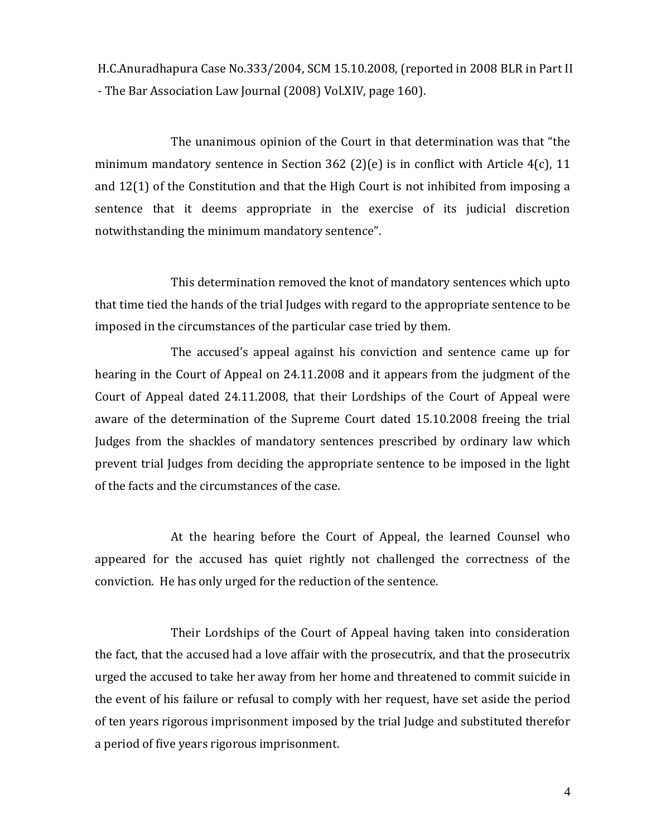H.C.Anuradhapura Case No.333/2004, SCM 15.10.2008, (reported in 2008 BLR in Part II - The Bar Association Law Journal (2008) Vol.XIV, page 160).

The unanimous opinion of the Court in that determination was that "the minimum mandatory sentence in Section 362 (2)(e) is in conflict with Article 4(c), 11 and 12(1) of the Constitution and that the High Court is not inhibited from imposing a sentence that it deems appropriate in the exercise of its judicial discretion notwithstanding the minimum mandatory sentence".

This determination removed the knot of mandatory sentences which upto that time tied the hands of the trial Judges with regard to the appropriate sentence to be imposed in the circumstances of the particular case tried by them.

The accused's appeal against his conviction and sentence came up for hearing in the Court of Appeal on 24.11.2008 and it appears from the judgment of the Court of Appeal dated 24.11.2008, that their Lordships of the Court of Appeal were aware of the determination of the Supreme Court dated 15.10.2008 freeing the trial Judges from the shackles of mandatory sentences prescribed by ordinary law which prevent trial Judges from deciding the appropriate sentence to be imposed in the light of the facts and the circumstances of the case.

At the hearing before the Court of Appeal, the learned Counsel who appeared for the accused has quiet rightly not challenged the correctness of the conviction. He has only urged for the reduction of the sentence.

Their Lordships of the Court of Appeal having taken into consideration the fact, that the accused had a love affair with the prosecutrix, and that the prosecutrix urged the accused to take her away from her home and threatened to commit suicide in the event of his failure or refusal to comply with her request, have set aside the period of ten years rigorous imprisonment imposed by the trial Judge and substituted therefor a period of five years rigorous imprisonment.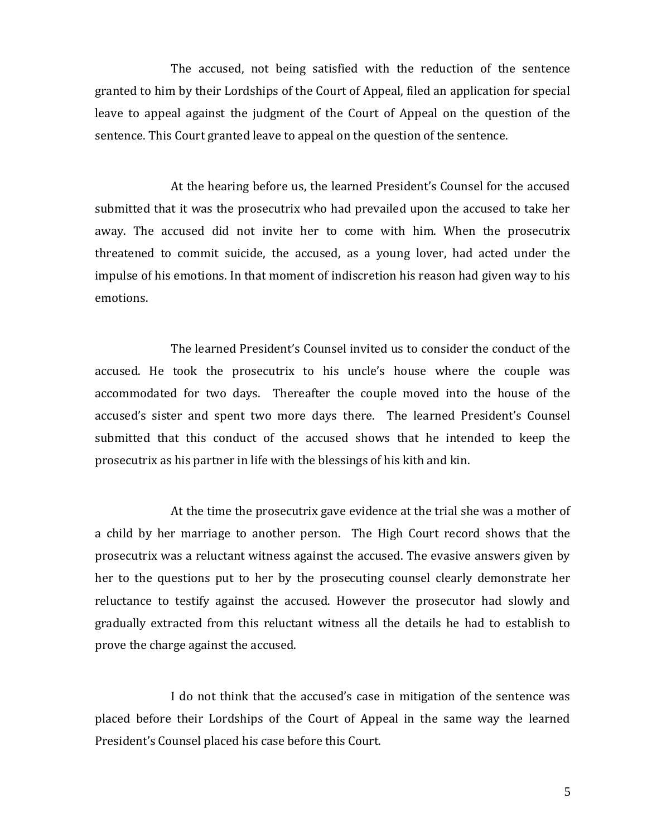The accused, not being satisfied with the reduction of the sentence granted to him by their Lordships of the Court of Appeal, filed an application for special leave to appeal against the judgment of the Court of Appeal on the question of the sentence. This Court granted leave to appeal on the question of the sentence.

At the hearing before us, the learned President's Counsel for the accused submitted that it was the prosecutrix who had prevailed upon the accused to take her away. The accused did not invite her to come with him. When the prosecutrix threatened to commit suicide, the accused, as a young lover, had acted under the impulse of his emotions. In that moment of indiscretion his reason had given way to his emotions.

The learned President's Counsel invited us to consider the conduct of the accused. He took the prosecutrix to his uncle's house where the couple was accommodated for two days. Thereafter the couple moved into the house of the accused's sister and spent two more days there. The learned President's Counsel submitted that this conduct of the accused shows that he intended to keep the prosecutrix as his partner in life with the blessings of his kith and kin.

At the time the prosecutrix gave evidence at the trial she was a mother of a child by her marriage to another person. The High Court record shows that the prosecutrix was a reluctant witness against the accused. The evasive answers given by her to the questions put to her by the prosecuting counsel clearly demonstrate her reluctance to testify against the accused. However the prosecutor had slowly and gradually extracted from this reluctant witness all the details he had to establish to prove the charge against the accused.

I do not think that the accused's case in mitigation of the sentence was placed before their Lordships of the Court of Appeal in the same way the learned President's Counsel placed his case before this Court.